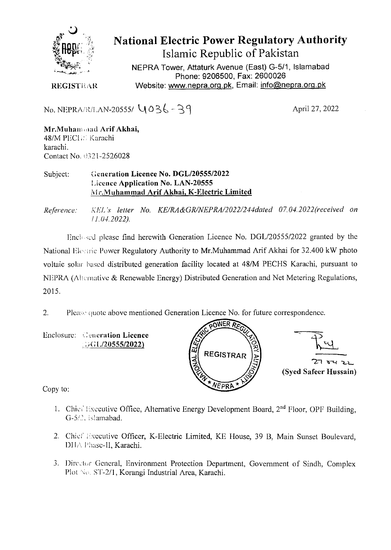

National Electric Power Regulatory Authority

Islamic Republic of Pakistan

NEPRA Tower, Attaturk Avenue (East) G-5/1, Islamabad Phone: 9206500, Fax: 2600026 Website: www.nepra.org.pk, Email: info@nepra.org.pk

**REGISTRAR** 

No. NEPRA/R/LAN-20555/  $U_0 36 - 39$ 

April 27, 2022

Mr.Muhamand Arif Akhai, 48/M PECIE Karachi karachi. Contact No. 0321-2526028

Subject: **Generation Licence No. DGL/20555/2022 icenee Application No. LAN-20555**  Mr.Muhammad Arif Akhai, K-Electric Limited

*Refrence: KEI. 's letter No. KE/RA&GRINEPRA/2022/244dated 07.04. 2022('received on /1.04.2022,).* 

Enclosed please find herewith Generation Licence No. DGL/20555/2022 granted by the National Electric Power Regulatory Authority to Mr.Muhammad Arif Akhai for 32.400 kW photo voltaic solar based distributed generation facility located at 48/M PECHS Karachi, pursuant to NEPRA (Alternative & Renewable Energy) Distributed Generation and Net Metering Regulations, 2015.

2. Please quote above mentioned Generation Licence No. for future correspondence.

Enclosure: **Ceneration Licence :;Gl./20555/2022)** 





**(Syed Safeer Hussain)** 

Copy to:

- 1. Chief Executive Office, Alternative Energy Development Board,  $2<sup>nd</sup>$  Floor, OPF Building, *G-5/2.* **islamabad.**
- 2. Chief Executive Officer, K-Electric Limited, KE House, 39 B, Main Sunset Boulevard, DHA Phase-II, Karachi.
- 3. Director General, Environment Protection Department, Government of Sindh, Complex Plot No. ST-2/1, Korangi Industrial Area, Karachi.